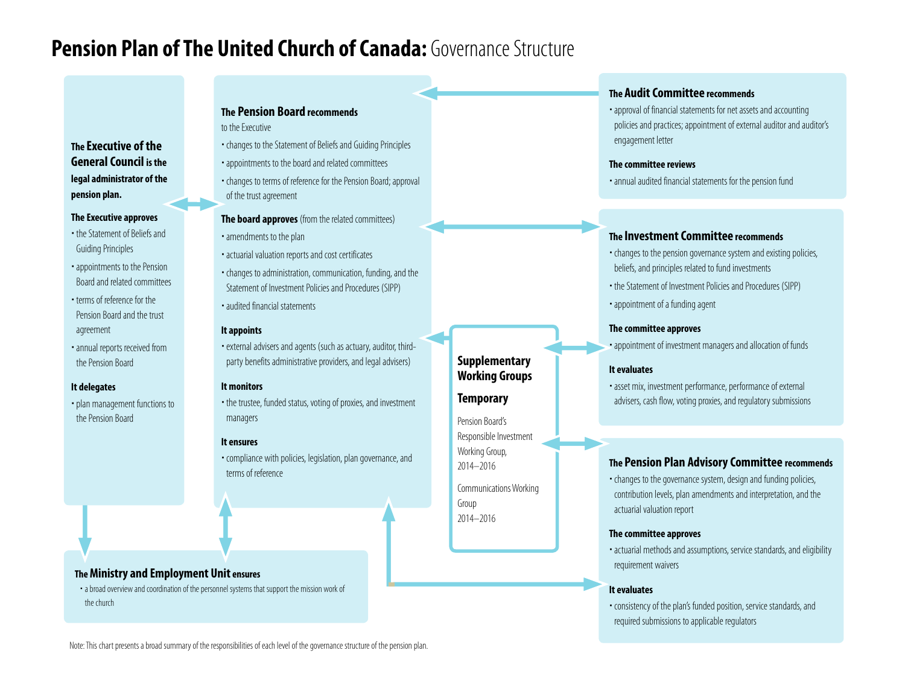# **Pension Plan of The United Church of Canada:** Governance Structure

# **The Executive of the General Council is the legal administrator of the pension plan.**

#### **The Executive approves**

- the Statement of Beliefs and Guiding Principles
- appointments to the Pension Board and related committees
- terms of reference for the Pension Board and the trust agreement
- annual reports received from the Pension Board

## **It delegates**

plan management functions to the Pension Board

# **The Pension Board recommends**

to the Executive

- changes to the Statement of Beliefs and Guiding Principles
- appointments to the board and related committees
- changes to terms of reference for the Pension Board; approval of the trust agreement

# **The board approves** (from the related committees)

- amendments to the plan
- actuarial valuation reports and cost certificates
- changes to administration, communication, funding, and the Statement of Investment Policies and Procedures (SIPP)
- audited financial statements

## **It appoints**

external advisers and agents (such as actuary, auditor, thirdparty benefits administrative providers, and legal advisers)

## **It monitors**

the trustee, funded status, voting of proxies, and investment managers

## **It ensures**

compliance with policies, legislation, plan governance, and terms of reference

## **The Ministry and Employment Unit ensures**

 a broad overview and coordination of the personnel systems that support the mission work of the church

# **The Audit Committee recommends**

approval of financial statements for net assets and accounting policies and practices; appointment of external auditor and auditor's engagement letter

#### **The committee reviews**

annual audited financial statements for the pension fund

# **The Investment Committee recommends**

- changes to the pension governance system and existing policies, beliefs, and principles related to fund investments
- the Statement of Investment Policies and Procedures (SIPP)
- appointment of a funding agent

## **The committee approves**

appointment of investment managers and allocation of funds

# **It evaluates**

**Supplementary Working Groups**

Communications Working

Group 2014–2016

**Temporary** Pension Board's Responsible Investment Working Group, 2014–2016

asset mix, investment performance, performance of external advisers, cash flow, voting proxies, and regulatory submissions

# **The Pension Plan Advisory Committee recommends**

changes to the governance system, design and funding policies, contribution levels, plan amendments and interpretation, and the actuarial valuation report

# **The committee approves**

actuarial methods and assumptions, service standards, and eligibility requirement waivers

# **It evaluates**

consistency of the plan's funded position, service standards, and required submissions to applicable regulators

Note: This chart presents a broad summary of the responsibilities of each level of the governance structure of the pension plan.